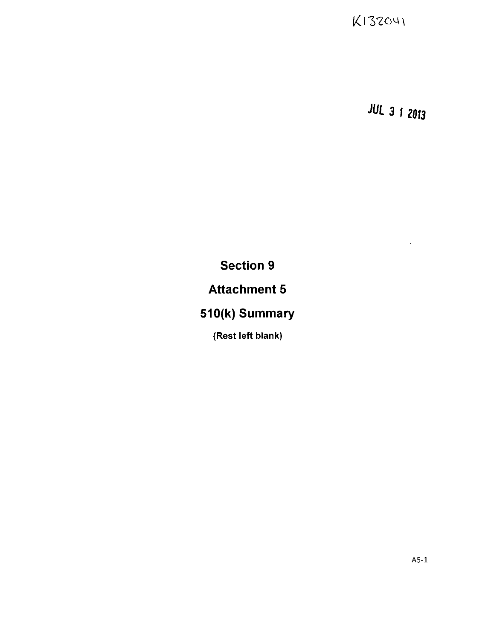K132041

**JUL 3 12013**

Section **9**

Attachment **5**

**510(k)** Summary

(Rest left blank)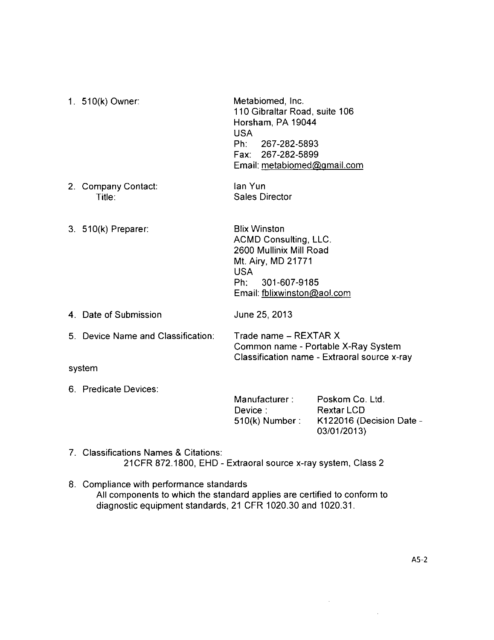| 1. 510(k) Owner:                   | Metabiomed, Inc.<br>110 Gibraltar Road, suite 106<br>Horsham, PA 19044<br><b>USA</b><br>Ph: 267-282-5893<br>Fax: 267-282-5899<br>Email: metabiomed@gmail.com             |                                               |
|------------------------------------|--------------------------------------------------------------------------------------------------------------------------------------------------------------------------|-----------------------------------------------|
| 2. Company Contact:<br>Title:      | lan Yun<br><b>Sales Director</b>                                                                                                                                         |                                               |
| 3. 510(k) Preparer:                | <b>Blix Winston</b><br><b>ACMD Consulting, LLC.</b><br>2600 Mullinix Mill Road<br>Mt. Airy, MD 21771<br><b>USA</b><br>301-607-9185<br>Ph:<br>Email: fblixwinston@aol.com |                                               |
| 4. Date of Submission              | June 25, 2013                                                                                                                                                            |                                               |
| 5. Device Name and Classification: | Trade name - REXTAR X<br>Common name - Portable X-Ray System<br>Classification name - Extraoral source x-ray                                                             |                                               |
| system                             |                                                                                                                                                                          |                                               |
| 6. Predicate Devices:              | Manufacturer: Poskom Co. Ltd.<br>Device:<br>510(k) Number :                                                                                                              | <b>Rextar LCD</b><br>K122016 (Decision Date - |

**7.** Classifications Names **&** Citations: 21 CFR **872.1800, EHD -** Extraoral source x-ray system, Class 2

**8.** Compliance with performance standards **All** components to which the standard applies are certified to conform to diagnostic equipment standards, 21 CFR **1020.30** and **1020.31.**

**03/01/2013)**

 $\sim$ 

 $\bar{\mathcal{A}}$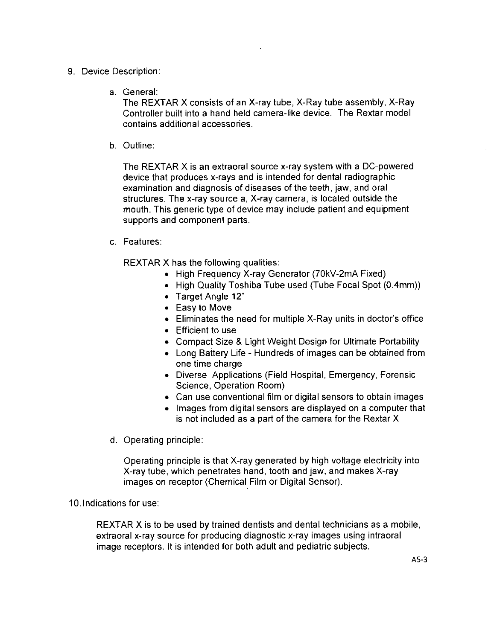- **9.** Device Description:
	- a. General:

The REXIAR X consists of an X-ray tube, X-Ray tube assembly, X-Ray Controller built into a hand held camera-like device. The Rextar model contains additional accessories.

**b.** Outline:

The REXTAR X is an extraoral source x-ray system with a DC-powered device that produces x-rays and is intended for dental radiographic examination and diagnosis of diseases of the teeth, jaw, and oral structures. The x-ray source a, X-ray camera, is located outside the mouth. This generic type of device may include patient and equipment supports and component parts.

c. Features:

REXTAR X has the following qualities:

- **a** High Frequency X-ray Generator (7OkV-2mA Fixed)
- **a** High Quality Toshiba Tube used (Tube Focal Spot (0.4mm))
- **@** Target Angle 12\*
- **a** Easy to Move
- **\*** Eliminates the need for multiple X-Ray units in doctor's office
- **a** Efficient to use
- **\*** Compact Size **&** Light Weight Design for Ultimate Portability
- **a** Long Battery Life **-** Hundreds of images can be obtained from one time charge
- **a** Diverse Applications (Fieid Hospital, Emergency, Forensic Science, Operation Room)
- **e** Can use conventional film or digital sensors to obtain images
- Images from digital sensors are displayed on a computer that is not included as a part of the camera for the Rextar X
- **d.** Operating principle:

Operating principle is that X-ray generated **by** high voltage electricity into X-ray tube, which penetrates hand, tooth and jaw, and makes X-ray images on receptor (Chemical Film or Digital Sensor).

## **10.** Indications for use:

REXTAR X is to be used **by** trained dentists and dental technicians as a mobile, extraoral x-ray source for producing diagnostic x-ray images using intraoral image receptors. It is intended for both adult and pediatric subjects.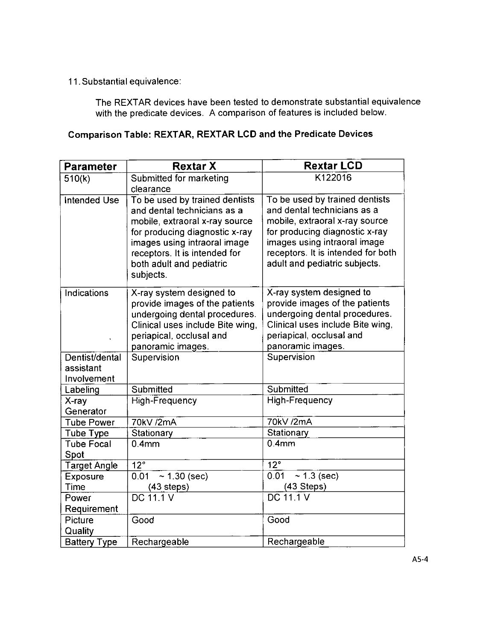**11.** Substantial equivalence:

The REXTAR devices have been tested to demonstrate substantial equivalence with the predicate devices. **A** comparison of features is included below.

## Comparison Table: REXTAR, REXTAR **LCD** and the Predicate Devices

| <b>Parameter</b>                           | <b>Rextar X</b>                                                                                                                                                                                                                             | <b>Rextar LCD</b>                                                                                                                                                                                                                        |  |
|--------------------------------------------|---------------------------------------------------------------------------------------------------------------------------------------------------------------------------------------------------------------------------------------------|------------------------------------------------------------------------------------------------------------------------------------------------------------------------------------------------------------------------------------------|--|
| 510(k)                                     | Submitted for marketing<br>clearance                                                                                                                                                                                                        | K122016                                                                                                                                                                                                                                  |  |
| <b>Intended Use</b>                        | To be used by trained dentists<br>and dental technicians as a<br>mobile, extraoral x-ray source<br>for producing diagnostic x-ray<br>images using intraoral image<br>receptors. It is intended for<br>both adult and pediatric<br>subjects. | To be used by trained dentists<br>and dental technicians as a<br>mobile, extraoral x-ray source<br>for producing diagnostic x-ray<br>images using intraoral image<br>receptors. It is intended for both<br>adult and pediatric subjects. |  |
| <b>Indications</b>                         | X-ray system designed to<br>provide images of the patients<br>undergoing dental procedures.<br>Clinical uses include Bite wing,<br>periapical, occlusal and<br>panoramic images.                                                            | X-ray system designed to<br>provide images of the patients<br>undergoing dental procedures.<br>Clinical uses include Bite wing,<br>periapical, occlusal and<br>panoramic images.                                                         |  |
| Dentist/dental<br>assistant<br>Involvement | Supervision                                                                                                                                                                                                                                 | Supervision                                                                                                                                                                                                                              |  |
| Labeling                                   | Submitted                                                                                                                                                                                                                                   | Submitted                                                                                                                                                                                                                                |  |
| $X$ -ray<br>Generator                      | <b>High-Frequency</b>                                                                                                                                                                                                                       | <b>High-Frequency</b>                                                                                                                                                                                                                    |  |
| <b>Tube Power</b>                          | 70kV /2mA                                                                                                                                                                                                                                   | 70kV /2mA                                                                                                                                                                                                                                |  |
| Tube Type                                  | Stationary                                                                                                                                                                                                                                  | Stationary                                                                                                                                                                                                                               |  |
| <b>Tube Focal</b><br>Spot                  | 0.4 <sub>mm</sub>                                                                                                                                                                                                                           | 0.4 <sub>mm</sub>                                                                                                                                                                                                                        |  |
| <b>Target Angle</b>                        | $12^\circ$                                                                                                                                                                                                                                  | $\overline{12^{\circ}}$                                                                                                                                                                                                                  |  |
| <b>Exposure</b>                            | 0.01<br>$~1.30$ (sec)                                                                                                                                                                                                                       | $~1.3$ (sec)<br>0.01                                                                                                                                                                                                                     |  |
| Time                                       | $(43$ steps)                                                                                                                                                                                                                                | (43 Steps)                                                                                                                                                                                                                               |  |
| Power                                      | <b>DC 11.1 V</b>                                                                                                                                                                                                                            | DC 11.1 V                                                                                                                                                                                                                                |  |
| Requirement                                |                                                                                                                                                                                                                                             |                                                                                                                                                                                                                                          |  |
| Picture                                    | Good                                                                                                                                                                                                                                        | Good                                                                                                                                                                                                                                     |  |
| Quality                                    |                                                                                                                                                                                                                                             |                                                                                                                                                                                                                                          |  |
| <b>Battery Type</b>                        | Rechargeable                                                                                                                                                                                                                                | Rechargeable                                                                                                                                                                                                                             |  |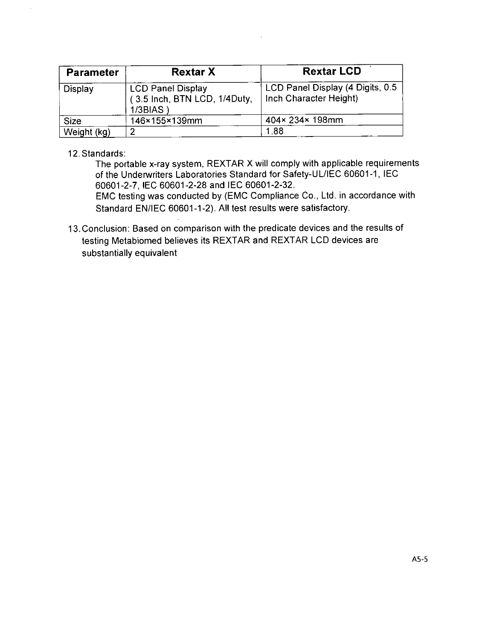| <b>Parameter</b> | <b>Rextar X</b>                                                     | <b>Rextar LCD</b>                                          |
|------------------|---------------------------------------------------------------------|------------------------------------------------------------|
| Display          | <b>LCD Panel Display</b><br>(3.5 Inch, BTN LCD, 1/4Duty,<br>1/3BIAS | LCD Panel Display (4 Digits, 0.5<br>Inch Character Height) |
| <b>Size</b>      | 146×155×139mm                                                       | 404×234×198mm                                              |
| Weight (kg)      | ີ                                                                   | 1.88                                                       |

12. Standards:

The portable x-ray system, REXTAR X will comply with applicable requirements of the Underwriters Laboratories Standard for Safety-UL/IEC **60601 -1, IEC 60601-2-7, IEC 60601-2-28** and **IEC 60601 -2-32.**

**EMC** testing was conducted **by (EMVC** Compliance Co., Ltd. in accordance with Standard **EN/lEG 60601-1 -2). All** test results were satisfactory.

13. Conclusion: Based on comparison with the predicate devices and the results of testing Metabiomed believes its REXTAR and REXTAR **LCD** devices are substantially equivalent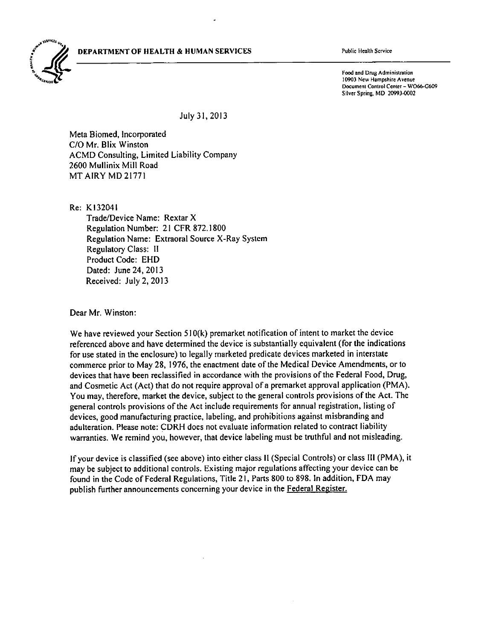**DEPARTMENT OF HIEALTH & HUMAN SERVICES** Public Health Service



Food and Drug Administration **0903** New Hampshire Avenue Document Control Center **- W066-G609** Silver Spring, MD 20993.0002

July **3 1, 2Q13**

Meta Biomed, Incorporated **C/O** Mr. Blix Winston **ACMD** Consulting, Limited Liability Company **2600** Mullinix Mill Road MT AIRY MD **21771**

Re: K132041

Trade/Device Name: Rextar X Regulation Number: 21 CFR **872.1800** Regulation Name: Extraoral Source X-Ray System Regulatory Class: **11** Product Code: **EHD** Dated: June 24, **2013** Received: July 2, **2013**

Dear Mr. Winston:

We have reviewed your Section 510(k) premarket notification of intent to market the device referenced above and have determined the device is substantially equivalent (for the indications for use stated in the enclosure) to legally marketed predicate devices marketed in interstate commerce prior to May **28, 1976,** the enactment date of the Medical Device Amendments, or to devices that have been reclassified in accordance with the provisions of the Federal Food, Drug, and Cosmetic Act (Act) that do not require approval of a premarket approval application (PMA). You may, therefore, market the device, subject to the general controls provisions of the Act. The general controls provisions of the Act include requirements for annual registration, listing of devices, good manufacturing practice, labeling, and prohibitions against misbranding and adulteration. Please note: CDRH does not evaluate information related to contract liability warranties. We remind you, however, that device labeling must be truthful and not misleading.

**If** your device is classified (see above) into either class **11** (Special Controls) or class Ill (PMA), it may be subject to additional controls. Existing major regulations affecting your device can be found in the Code of Federal Regulations, Title 2 **1,** Parts **800** to **898.** In addition, **FDA** may publish further announcements concerning your device in the Federal Register.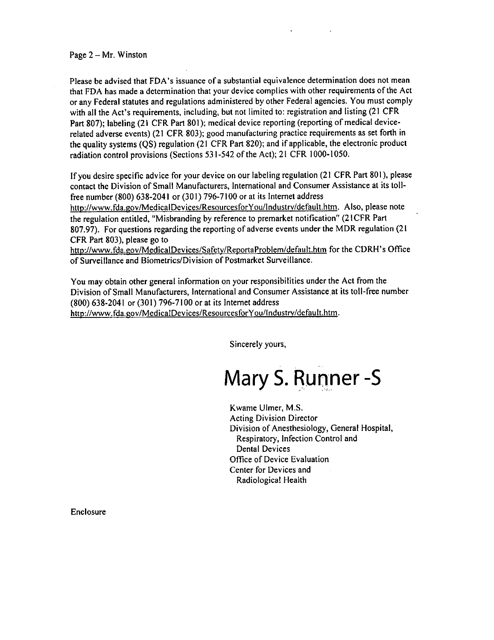Page 2 **-** Mr. Winston

Please be advised that FDA's issuance of a substantial equivalence determination does not mean that **FDA** has made a determination that your device complies with other requirements of the Act or any Federal statutes and regulations administered **by** other Federal agencies. You must comply with all the Act's requirements, including, but not limited to: registration and listing (21 CFR Part **807);** labeling (21 CFR Part **801);** medical device reporting (reporting of medical devicerelated adverse events) (21 CFR **803);** good manufacturing practice requirements as set forth in the quality systems **(QS)** regulation (21 CFR Part **820);** and if applicable, the electronic product radiation control provisions (Sections **531-542** of the Act); 21 CFR **1000- 1050.**

**If** you desire specific advice for your device on our labeling regulation (21 CFR Part **801),** please contact the Division of Small Manufacturers, International and Consumer Assistance at its tollfree number **(800) 638-2041** or **(301) 796-7100** or at its Internet address

http://www.fda.gov/MedicalDevices/ResourcesforYou/Industry/default.htm. Also, please note the regulation entitled, "Misbranding **by** reference to premarket notification" (2ICFR Part **807.97).** For questions regarding the reporting of adverse events under the MDR regulation (21 CFR Part **803),** please go to

http://www.fda.gov/MedicalDevices/Safety/ReportaProblem/default.htm for the CDRH's Office of Surveillance and Biometrics/Division of Postmarket Surveillance.

You may obtain other general information on your responsibilities under the Act from the Division of Small Manufacturers, International and Consumer Assistance at its toll-free number **(800) 638-2041** or **(301) 796-7100** or at its Internet address http://www.fda.gov/MedicalDevices/ResourcesforYou/Industry/default.htm.

Sincerely yours,

**Mary S. Runner -S**

Kwame Ulmer, **M.S.** Acting Division Director Division of Anesthesiology, General Hospital, Respiratory, Infection Control and Dental Devices Office of Device Evaluation Center for Devices and Radiological Health

Enclosure